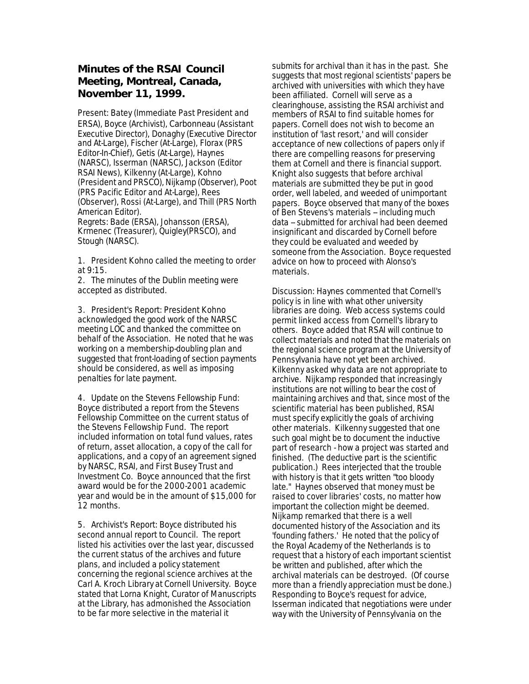## **Minutes of the RSAI Council Meeting, Montreal, Canada, November 11, 1999.**

Present: Batey (Immediate Past President and ERSA), Boyce (Archivist), Carbonneau (Assistant Executive Director), Donaghy (Executive Director and At-Large), Fischer (At-Large), Florax (PRS Editor-In-Chief), Getis (At-Large), Haynes (NARSC), Isserman (NARSC), Jackson (Editor RSAI News), Kilkenny (At-Large), Kohno (President and PRSCO), Nijkamp (Observer), Poot (PRS Pacific Editor and At-Large), Rees (Observer), Rossi (At-Large), and Thill (PRS North American Editor). Regrets: Bade (ERSA), Johansson (ERSA), Krmenec (Treasurer), Quigley(PRSCO), and Stough (NARSC).

1. President Kohno called the meeting to order at 9:15.

2. The minutes of the Dublin meeting were accepted as distributed.

3. President's Report: President Kohno acknowledged the good work of the NARSC meeting LOC and thanked the committee on behalf of the Association. He noted that he was working on a membership-doubling plan and suggested that front-loading of section payments should be considered, as well as imposing penalties for late payment.

4. Update on the Stevens Fellowship Fund: Boyce distributed a report from the Stevens Fellowship Committee on the current status of the Stevens Fellowship Fund. The report included information on total fund values, rates of return, asset allocation, a copy of the call for applications, and a copy of an agreement signed by NARSC, RSAI, and First Busey Trust and Investment Co. Boyce announced that the first award would be for the 2000-2001 academic year and would be in the amount of \$15,000 for 12 months.

5. Archivist's Report: Boyce distributed his second annual report to Council. The report listed his activities over the last year, discussed the current status of the archives and future plans, and included a policy statement concerning the regional science archives at the Carl A. Kroch Library at Cornell University. Boyce stated that Lorna Knight, Curator of Manuscripts at the Library, has admonished the Association to be far more selective in the material it

submits for archival than it has in the past. She suggests that most regional scientists' papers be archived with universities with which they have been affiliated. Cornell will serve as a clearinghouse, assisting the RSAI archivist and members of RSAI to find suitable homes for papers. Cornell does not wish to become an institution of 'last resort,' and will consider acceptance of new collections of papers only if there are compelling reasons for preserving them at Cornell and there is financial support. Knight also suggests that before archival materials are submitted they be put in good order, well labeled, and weeded of unimportant papers. Boyce observed that many of the boxes of Ben Stevens's materials -- including much data -- submitted for archival had been deemed insignificant and discarded by Cornell before they could be evaluated and weeded by someone from the Association. Boyce requested advice on how to proceed with Alonso's materials.

Discussion: Haynes commented that Cornell's policy is in line with what other university libraries are doing. Web access systems could permit linked access from Cornell's library to others. Boyce added that RSAI will continue to collect materials and noted that the materials on the regional science program at the University of Pennsylvania have not yet been archived. Kilkenny asked why data are not appropriate to archive. Nijkamp responded that increasingly institutions are not willing to bear the cost of maintaining archives and that, since most of the scientific material has been published, RSAI must specify explicitly the goals of archiving other materials. Kilkenny suggested that one such goal might be to document the inductive part of research - how a project was started and finished. (The deductive part is the scientific publication.) Rees interjected that the trouble with history is that it gets written "too bloody late." Haynes observed that money must be raised to cover libraries' costs, no matter how important the collection might be deemed. Nijkamp remarked that there is a well documented history of the Association and its 'founding fathers.' He noted that the policy of the Royal Academy of the Netherlands is to request that a history of each important scientist be written and published, after which the archival materials can be destroyed. (Of course more than a friendly appreciation must be done.) Responding to Boyce's request for advice, Isserman indicated that negotiations were under way with the University of Pennsylvania on the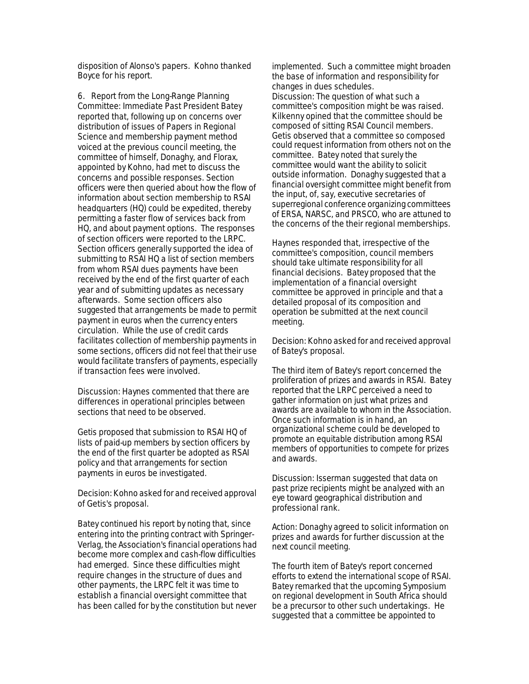disposition of Alonso's papers. Kohno thanked Boyce for his report.

6. Report from the Long-Range Planning Committee: Immediate Past President Batey reported that, following up on concerns over distribution of issues of Papers in Regional Science and membership payment method voiced at the previous council meeting, the committee of himself, Donaghy, and Florax, appointed by Kohno, had met to discuss the concerns and possible responses. Section officers were then queried about how the flow of information about section membership to RSAI headquarters (HQ) could be expedited, thereby permitting a faster flow of services back from HQ, and about payment options. The responses of section officers were reported to the LRPC. Section officers generally supported the idea of submitting to RSAI HQ a list of section members from whom RSAI dues payments have been received by the end of the first quarter of each year and of submitting updates as necessary afterwards. Some section officers also suggested that arrangements be made to permit payment in euros when the currency enters circulation. While the use of credit cards facilitates collection of membership payments in some sections, officers did not feel that their use would facilitate transfers of payments, especially if transaction fees were involved.

Discussion: Haynes commented that there are differences in operational principles between sections that need to be observed.

Getis proposed that submission to RSAI HQ of lists of paid-up members by section officers by the end of the first quarter be adopted as RSAI policy and that arrangements for section payments in euros be investigated.

Decision: Kohno asked for and received approval of Getis's proposal.

Batey continued his report by noting that, since entering into the printing contract with Springer-Verlag, the Association's financial operations had become more complex and cash-flow difficulties had emerged. Since these difficulties might require changes in the structure of dues and other payments, the LRPC felt it was time to establish a financial oversight committee that has been called for by the constitution but never

implemented. Such a committee might broaden the base of information and responsibility for changes in dues schedules. Discussion: The question of what such a committee's composition might be was raised. Kilkenny opined that the committee should be composed of sitting RSAI Council members. Getis observed that a committee so composed could request information from others not on the committee. Batey noted that surely the committee would want the ability to solicit outside information. Donaghy suggested that a financial oversight committee might benefit from the input, of, say, executive secretaries of superregional conference organizing committees of ERSA, NARSC, and PRSCO, who are attuned to the concerns of the their regional memberships.

Haynes responded that, irrespective of the committee's composition, council members should take ultimate responsibility for all financial decisions. Batey proposed that the implementation of a financial oversight committee be approved in principle and that a detailed proposal of its composition and operation be submitted at the next council meeting.

Decision: Kohno asked for and received approval of Batey's proposal.

The third item of Batey's report concerned the proliferation of prizes and awards in RSAI. Batey reported that the LRPC perceived a need to gather information on just what prizes and awards are available to whom in the Association. Once such information is in hand, an organizational scheme could be developed to promote an equitable distribution among RSAI members of opportunities to compete for prizes and awards.

Discussion: Isserman suggested that data on past prize recipients might be analyzed with an eye toward geographical distribution and professional rank.

Action: Donaghy agreed to solicit information on prizes and awards for further discussion at the next council meeting.

The fourth item of Batey's report concerned efforts to extend the international scope of RSAI. Batey remarked that the upcoming Symposium on regional development in South Africa should be a precursor to other such undertakings. He suggested that a committee be appointed to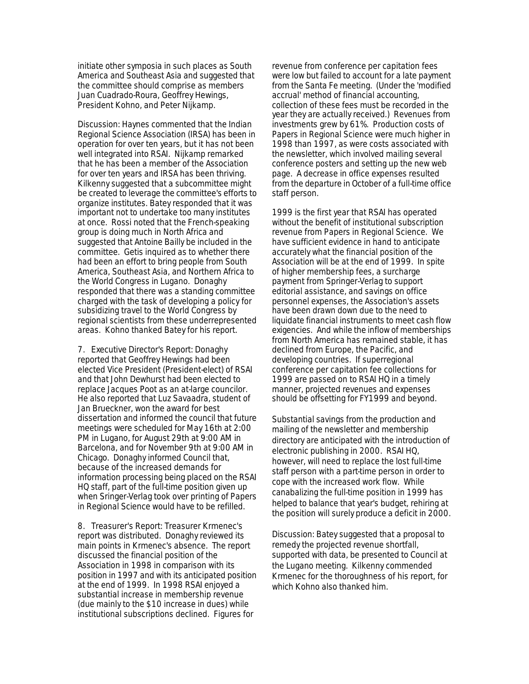initiate other symposia in such places as South America and Southeast Asia and suggested that the committee should comprise as members Juan Cuadrado-Roura, Geoffrey Hewings, President Kohno, and Peter Nijkamp.

Discussion: Haynes commented that the Indian Regional Science Association (IRSA) has been in operation for over ten years, but it has not been well integrated into RSAI. Nijkamp remarked that he has been a member of the Association for over ten years and IRSA has been thriving. Kilkenny suggested that a subcommittee might be created to leverage the committee's efforts to organize institutes. Batey responded that it was important not to undertake too many institutes at once. Rossi noted that the French-speaking group is doing much in North Africa and suggested that Antoine Bailly be included in the committee. Getis inquired as to whether there had been an effort to bring people from South America, Southeast Asia, and Northern Africa to the World Congress in Lugano. Donaghy responded that there was a standing committee charged with the task of developing a policy for subsidizing travel to the World Congress by regional scientists from these underrepresented areas. Kohno thanked Batey for his report.

7. Executive Director's Report: Donaghy reported that Geoffrey Hewings had been elected Vice President (President-elect) of RSAI and that John Dewhurst had been elected to replace Jacques Poot as an at-large councilor. He also reported that Luz Savaadra, student of Jan Brueckner, won the award for best dissertation and informed the council that future meetings were scheduled for May 16th at 2:00 PM in Lugano, for August 29th at 9:00 AM in Barcelona, and for November 9th at 9:00 AM in Chicago. Donaghy informed Council that, because of the increased demands for information processing being placed on the RSAI HQ staff, part of the full-time position given up when Sringer-Verlag took over printing of Papers in Regional Science would have to be refilled.

8. Treasurer's Report: Treasurer Krmenec's report was distributed. Donaghy reviewed its main points in Krmenec's absence. The report discussed the financial position of the Association in 1998 in comparison with its position in 1997 and with its anticipated position at the end of 1999. In 1998 RSAI enjoyed a substantial increase in membership revenue (due mainly to the \$10 increase in dues) while institutional subscriptions declined. Figures for

revenue from conference per capitation fees were low but failed to account for a late payment from the Santa Fe meeting. (Under the 'modified accrual' method of financial accounting, collection of these fees must be recorded in the year they are actually received.) Revenues from investments grew by 61%. Production costs of Papers in Regional Science were much higher in 1998 than 1997, as were costs associated with the newsletter, which involved mailing several conference posters and setting up the new web page. A decrease in office expenses resulted from the departure in October of a full-time office staff person.

1999 is the first year that RSAI has operated without the benefit of institutional subscription revenue from Papers in Regional Science. We have sufficient evidence in hand to anticipate accurately what the financial position of the Association will be at the end of 1999. In spite of higher membership fees, a surcharge payment from Springer-Verlag to support editorial assistance, and savings on office personnel expenses, the Association's assets have been drawn down due to the need to liquidate financial instruments to meet cash flow exigencies. And while the inflow of memberships from North America has remained stable, it has declined from Europe, the Pacific, and developing countries. If superregional conference per capitation fee collections for 1999 are passed on to RSAI HQ in a timely manner, projected revenues and expenses should be offsetting for FY1999 and beyond.

Substantial savings from the production and mailing of the newsletter and membership directory are anticipated with the introduction of electronic publishing in 2000. RSAI HQ, however, will need to replace the lost full-time staff person with a part-time person in order to cope with the increased work flow. While canabalizing the full-time position in 1999 has helped to balance that year's budget, rehiring at the position will surely produce a deficit in 2000.

Discussion: Batey suggested that a proposal to remedy the projected revenue shortfall, supported with data, be presented to Council at the Lugano meeting. Kilkenny commended Krmenec for the thoroughness of his report, for which Kohno also thanked him.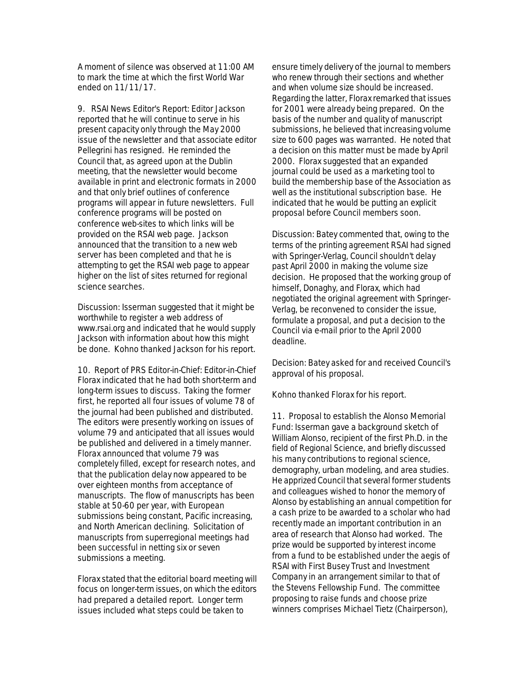A moment of silence was observed at 11:00 AM to mark the time at which the first World War ended on 11/11/17.

9. RSAI News Editor's Report: Editor Jackson reported that he will continue to serve in his present capacity only through the May 2000 issue of the newsletter and that associate editor Pellegrini has resigned. He reminded the Council that, as agreed upon at the Dublin meeting, that the newsletter would become available in print and electronic formats in 2000 and that only brief outlines of conference programs will appear in future newsletters. Full conference programs will be posted on conference web-sites to which links will be provided on the RSAI web page. Jackson announced that the transition to a new web server has been completed and that he is attempting to get the RSAI web page to appear higher on the list of sites returned for regional science searches.

Discussion: Isserman suggested that it might be worthwhile to register a web address of www.rsai.org and indicated that he would supply Jackson with information about how this might be done. Kohno thanked Jackson for his report.

10. Report of PRS Editor-in-Chief: Editor-in-Chief Florax indicated that he had both short-term and long-term issues to discuss. Taking the former first, he reported all four issues of volume 78 of the journal had been published and distributed. The editors were presently working on issues of volume 79 and anticipated that all issues would be published and delivered in a timely manner. Florax announced that volume 79 was completely filled, except for research notes, and that the publication delay now appeared to be over eighteen months from acceptance of manuscripts. The flow of manuscripts has been stable at 50-60 per year, with European submissions being constant, Pacific increasing, and North American declining. Solicitation of manuscripts from superregional meetings had been successful in netting six or seven submissions a meeting.

Florax stated that the editorial board meeting will focus on longer-term issues, on which the editors had prepared a detailed report. Longer term issues included what steps could be taken to

ensure timely delivery of the journal to members who renew through their sections and whether and when volume size should be increased. Regarding the latter, Florax remarked that issues for 2001 were already being prepared. On the basis of the number and quality of manuscript submissions, he believed that increasing volume size to 600 pages was warranted. He noted that a decision on this matter must be made by April 2000. Florax suggested that an expanded journal could be used as a marketing tool to build the membership base of the Association as well as the institutional subscription base. He indicated that he would be putting an explicit proposal before Council members soon.

Discussion: Batey commented that, owing to the terms of the printing agreement RSAI had signed with Springer-Verlag, Council shouldn't delay past April 2000 in making the volume size decision. He proposed that the working group of himself, Donaghy, and Florax, which had negotiated the original agreement with Springer-Verlag, be reconvened to consider the issue, formulate a proposal, and put a decision to the Council via e-mail prior to the April 2000 deadline.

Decision: Batey asked for and received Council's approval of his proposal.

Kohno thanked Florax for his report.

11. Proposal to establish the Alonso Memorial Fund: Isserman gave a background sketch of William Alonso, recipient of the first Ph.D. in the field of Regional Science, and briefly discussed his many contributions to regional science, demography, urban modeling, and area studies. He apprized Council that several former students and colleagues wished to honor the memory of Alonso by establishing an annual competition for a cash prize to be awarded to a scholar who had recently made an important contribution in an area of research that Alonso had worked. The prize would be supported by interest income from a fund to be established under the aegis of RSAI with First Busey Trust and Investment Company in an arrangement similar to that of the Stevens Fellowship Fund. The committee proposing to raise funds and choose prize winners comprises Michael Tietz (Chairperson),